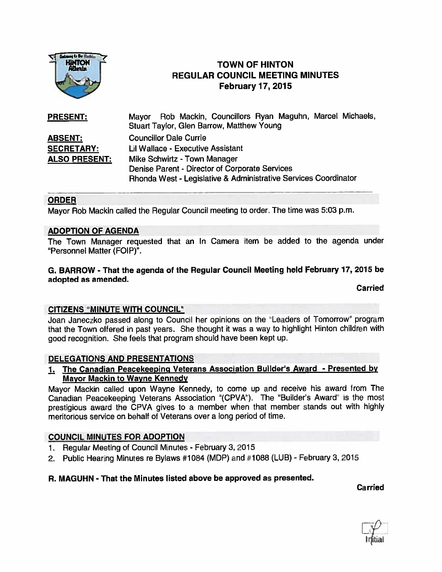

# **TOWN OF HINTON** REGULAR COUNCIL MEETING MINUTES February 17, 2015

| <b>PRESENT:</b>      | Mayor Rob Mackin, Councillors Ryan Maguhn, Marcel Michaels,<br>Stuart Taylor, Glen Barrow, Matthew Young |
|----------------------|----------------------------------------------------------------------------------------------------------|
| <b>ABSENT:</b>       | <b>Councillor Dale Currie</b>                                                                            |
| <b>SECRETARY:</b>    | Lil Wallace - Executive Assistant                                                                        |
| <b>ALSO PRESENT:</b> | Mike Schwirtz - Town Manager                                                                             |
|                      | Denise Parent - Director of Corporate Services                                                           |
|                      | Rhonda West - Legislative & Administrative Services Coordinator                                          |

## ORDER

Mayor Rob Mackin called the Regular Council meeting to order. The time was 5:03 p.m.

#### ADOPTION OF AGENDA

The Town Manager requested that an In Camera item be added to the agenda under "Personnel Matter (FOIP)".

### G. BARROW - That the agenda of the Regular Council Meeting held February 17, <sup>2015</sup> be adopted as amended.

Carried

### CITIZENS "MINUTE WITH COUNCIL"

Joan Janeczko passed along to Council her opinions on the "Leaders of Tomorrow" program that the Town offered in pas<sup>t</sup> years. She thought it was <sup>a</sup> way to highlight Hinton children with goo<sup>d</sup> recognition. She feels that program should have been kept up.

### DELEGATIONS AND PRESENTATIONS

## 1. The Canadian Peacekeeping Veterans Association Builder's Award - Presented by Mayor Mackin to Wayne Kennedy

Mayor Mackin called upon Wayne Kennedy, to come up and receive his award from The Canadian Peacekeeping Veterans Association "(CPVA"). The "Builder's Award" is the most prestigious award the CPVA <sup>g</sup>ives to <sup>a</sup> member when that member stands out with highly meritorious service on behalf of Veterans over <sup>a</sup> long period of time.

### COUNCIL MINUTES FOR ADOPTION

- 1. Regular Meeting of Council Minutes February 3, 2015
- 2. Public Hearing Minutes re Bylaws #1084 (MDP) and #1088 (LUB) February 3, 2015

#### R. MAGUHN - That the Minutes listed above be approved as presented.

Carried

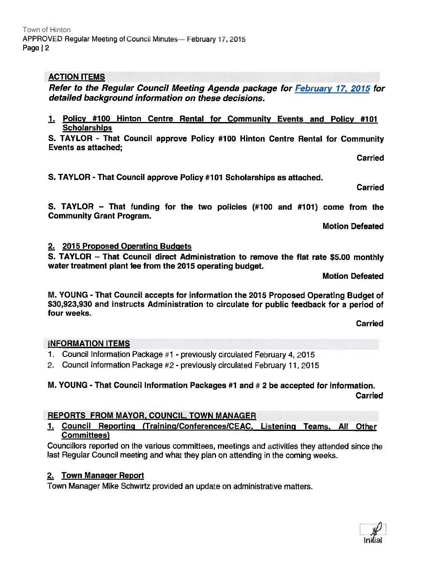# ACTION ITEMS

Refer to the Regular Council Meeting Agenda package for February 17, 2015 for detailed background information on these decisions.

1. Policy #100 Hinton Centre Rental for Community Events and Policy #101 **Scholarships** 

S. TAYLOR - That Council approve Policy #100 Hinton Centre Rental for Community Events as attached;

Carried

S. TAYLOR - That Council approve Policy #101 Scholarships as attached.

Carried

S. TAYLOR — That funding for the two policies (#100 and #101) come from the Community Grant Program.

Motion Defeated

## 2. 2015 Proposed Operating Budgets

S. TAYLOR — That Council direct Administration to remove the flat rate \$5.00 monthly water treatment plant fee from the 2015 operating budget.

Motion Defeated

M. YOUNG - That Council accepts for information the <sup>2015</sup> Proposed Operating Budget of \$30,923,930 and instructs Administration to circulate for public feedback for <sup>a</sup> period of four weeks.

Carried

# INFORMATION ITEMS

- 1. Council Information Package #1 . previously circulated Febiuary 4, <sup>2015</sup>
- 2. Council Information Package #2 previously circulated February 11, 2015

# M. YOUNG - That Council Information Packages #1 and #2 be accepted for information. Carried

# REPORTS FROM MAYOR, COUNCIL, TOWN MANAGER

#### Council Reporting (Training/Conferences/CEAC, Listening Teams, All Other 1. Committees)

Councillors reported on the various committees, meetings and activities they attended since the last Regular Council meeting and what they <sup>p</sup>lan on attending in the coming weeks.

# 2. Town Manager Report

Town Manager Mike Schwirtz provided an update on administrative matters.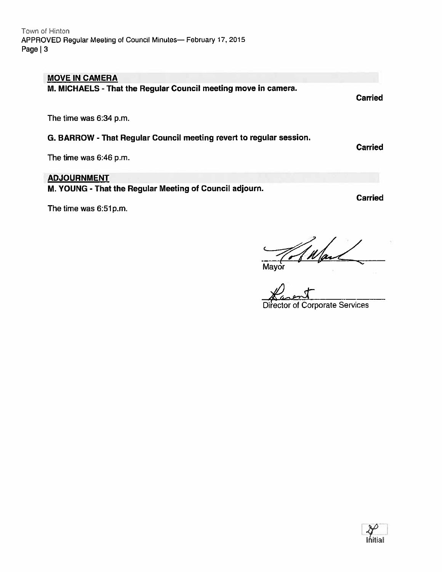### MOVE IN CAMERA

M. MICHAELS - That the Regular Council meeting move in camera.

The time was 6:34 p.m.

## G. BARROW - That Regular Council meeting revert to regular session.

The time was 6:46 p.m.

# ADJOURNMENT

M. YOUNG - That the Regular Meeting of Council adjourn.

The time was 6:51p.m.

Carried

**Carried** 

Carried

 $M_{\text{layer}}$ 

Director of Corporate Services